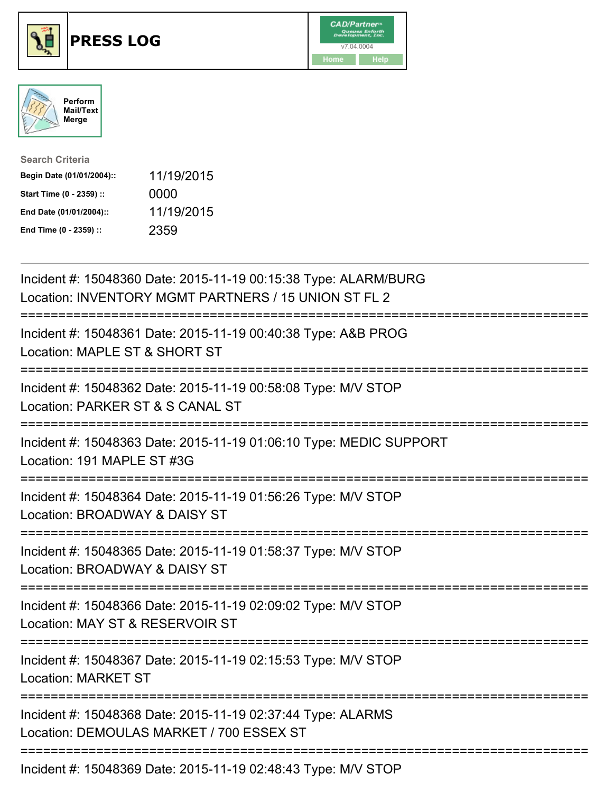





| <b>Search Criteria</b>    |            |
|---------------------------|------------|
| Begin Date (01/01/2004):: | 11/19/2015 |
| Start Time (0 - 2359) ::  | 0000       |
| End Date (01/01/2004)::   | 11/19/2015 |
| End Time (0 - 2359) ::    | 2359       |

| Incident #: 15048360 Date: 2015-11-19 00:15:38 Type: ALARM/BURG<br>Location: INVENTORY MGMT PARTNERS / 15 UNION ST FL 2                   |
|-------------------------------------------------------------------------------------------------------------------------------------------|
| Incident #: 15048361 Date: 2015-11-19 00:40:38 Type: A&B PROG<br>Location: MAPLE ST & SHORT ST                                            |
| Incident #: 15048362 Date: 2015-11-19 00:58:08 Type: M/V STOP<br>Location: PARKER ST & S CANAL ST                                         |
| Incident #: 15048363 Date: 2015-11-19 01:06:10 Type: MEDIC SUPPORT<br>Location: 191 MAPLE ST #3G                                          |
| Incident #: 15048364 Date: 2015-11-19 01:56:26 Type: M/V STOP<br>Location: BROADWAY & DAISY ST                                            |
| Incident #: 15048365 Date: 2015-11-19 01:58:37 Type: M/V STOP<br>Location: BROADWAY & DAISY ST<br>:======================<br>============ |
| Incident #: 15048366 Date: 2015-11-19 02:09:02 Type: M/V STOP<br>Location: MAY ST & RESERVOIR ST<br>-----------                           |
| :=========================<br>Incident #: 15048367 Date: 2015-11-19 02:15:53 Type: M/V STOP<br><b>Location: MARKET ST</b>                 |
| Incident #: 15048368 Date: 2015-11-19 02:37:44 Type: ALARMS<br>Location: DEMOULAS MARKET / 700 ESSEX ST                                   |
| Incident #: 15048369 Date: 2015-11-19 02:48:43 Type: M/V STOP                                                                             |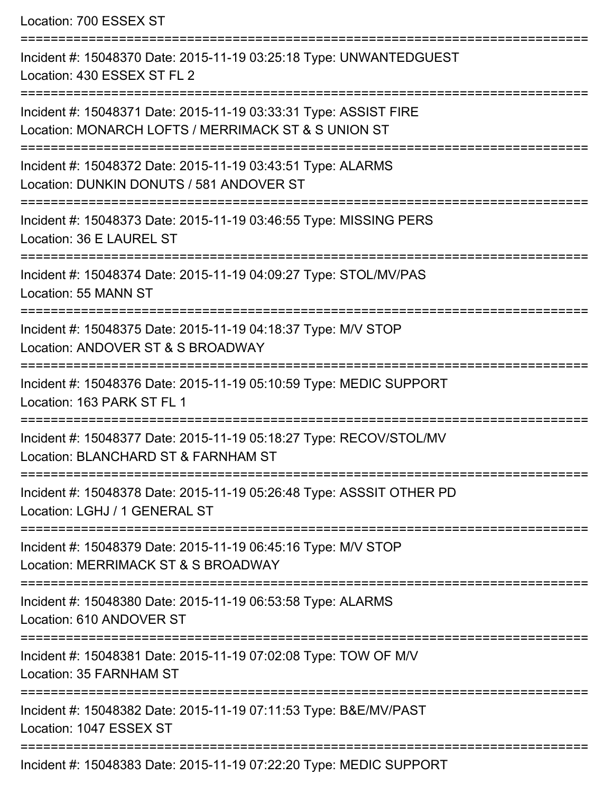Location: 700 ESSEX ST =========================================================================== Incident #: 15048370 Date: 2015-11-19 03:25:18 Type: UNWANTEDGUEST Location: 430 ESSEX ST FL 2 =========================================================================== Incident #: 15048371 Date: 2015-11-19 03:33:31 Type: ASSIST FIRE Location: MONARCH LOFTS / MERRIMACK ST & S UNION ST =========================================================================== Incident #: 15048372 Date: 2015-11-19 03:43:51 Type: ALARMS Location: DUNKIN DONUTS / 581 ANDOVER ST =========================================================================== Incident #: 15048373 Date: 2015-11-19 03:46:55 Type: MISSING PERS Location: 36 E LAUREL ST =========================================================================== Incident #: 15048374 Date: 2015-11-19 04:09:27 Type: STOL/MV/PAS Location: 55 MANN ST =========================================================================== Incident #: 15048375 Date: 2015-11-19 04:18:37 Type: M/V STOP Location: ANDOVER ST & S BROADWAY =========================================================================== Incident #: 15048376 Date: 2015-11-19 05:10:59 Type: MEDIC SUPPORT Location: 163 PARK ST FL 1 =========================================================================== Incident #: 15048377 Date: 2015-11-19 05:18:27 Type: RECOV/STOL/MV Location: BLANCHARD ST & FARNHAM ST =========================================================================== Incident #: 15048378 Date: 2015-11-19 05:26:48 Type: ASSSIT OTHER PD Location: LGHJ / 1 GENERAL ST =========================================================================== Incident #: 15048379 Date: 2015-11-19 06:45:16 Type: M/V STOP Location: MERRIMACK ST & S BROADWAY =========================================================================== Incident #: 15048380 Date: 2015-11-19 06:53:58 Type: ALARMS Location: 610 ANDOVER ST =========================================================================== Incident #: 15048381 Date: 2015-11-19 07:02:08 Type: TOW OF M/V Location: 35 FARNHAM ST =========================================================================== Incident #: 15048382 Date: 2015-11-19 07:11:53 Type: B&E/MV/PAST Location: 1047 ESSEX ST =========================================================================== Incident #: 15048383 Date: 2015-11-19 07:22:20 Type: MEDIC SUPPORT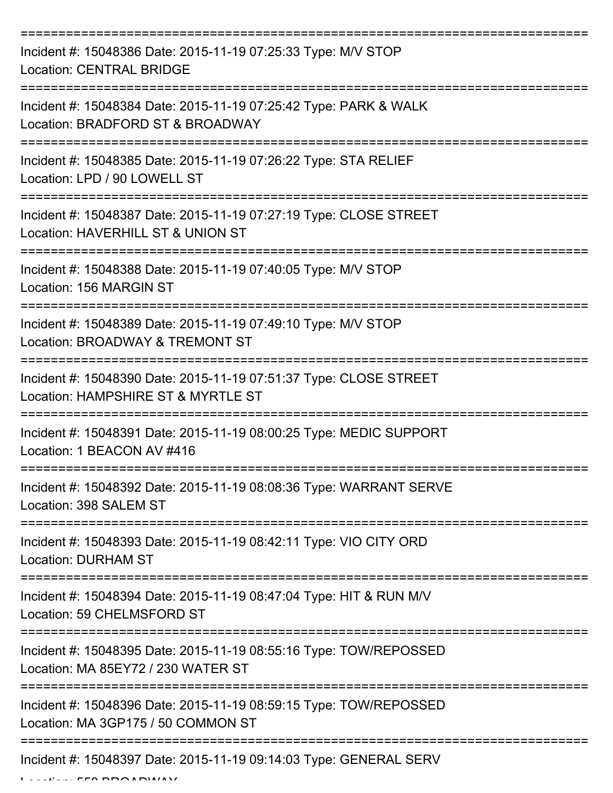| Incident #: 15048386 Date: 2015-11-19 07:25:33 Type: M/V STOP<br><b>Location: CENTRAL BRIDGE</b>        |
|---------------------------------------------------------------------------------------------------------|
| Incident #: 15048384 Date: 2015-11-19 07:25:42 Type: PARK & WALK<br>Location: BRADFORD ST & BROADWAY    |
| Incident #: 15048385 Date: 2015-11-19 07:26:22 Type: STA RELIEF<br>Location: LPD / 90 LOWELL ST         |
| Incident #: 15048387 Date: 2015-11-19 07:27:19 Type: CLOSE STREET<br>Location: HAVERHILL ST & UNION ST  |
| Incident #: 15048388 Date: 2015-11-19 07:40:05 Type: M/V STOP<br>Location: 156 MARGIN ST                |
| Incident #: 15048389 Date: 2015-11-19 07:49:10 Type: M/V STOP<br>Location: BROADWAY & TREMONT ST        |
| Incident #: 15048390 Date: 2015-11-19 07:51:37 Type: CLOSE STREET<br>Location: HAMPSHIRE ST & MYRTLE ST |
| Incident #: 15048391 Date: 2015-11-19 08:00:25 Type: MEDIC SUPPORT<br>Location: 1 BEACON AV #416        |
| Incident #: 15048392 Date: 2015-11-19 08:08:36 Type: WARRANT SERVE<br>Location: 398 SALEM ST            |
| Incident #: 15048393 Date: 2015-11-19 08:42:11 Type: VIO CITY ORD<br><b>Location: DURHAM ST</b>         |
| Incident #: 15048394 Date: 2015-11-19 08:47:04 Type: HIT & RUN M/V<br>Location: 59 CHELMSFORD ST        |
| Incident #: 15048395 Date: 2015-11-19 08:55:16 Type: TOW/REPOSSED<br>Location: MA 85EY72 / 230 WATER ST |
| Incident #: 15048396 Date: 2015-11-19 08:59:15 Type: TOW/REPOSSED<br>Location: MA 3GP175 / 50 COMMON ST |
| Incident #: 15048397 Date: 2015-11-19 09:14:03 Type: GENERAL SERV                                       |

 $L = LL$ ,  $L = R \times R$  BBOA BROADWAY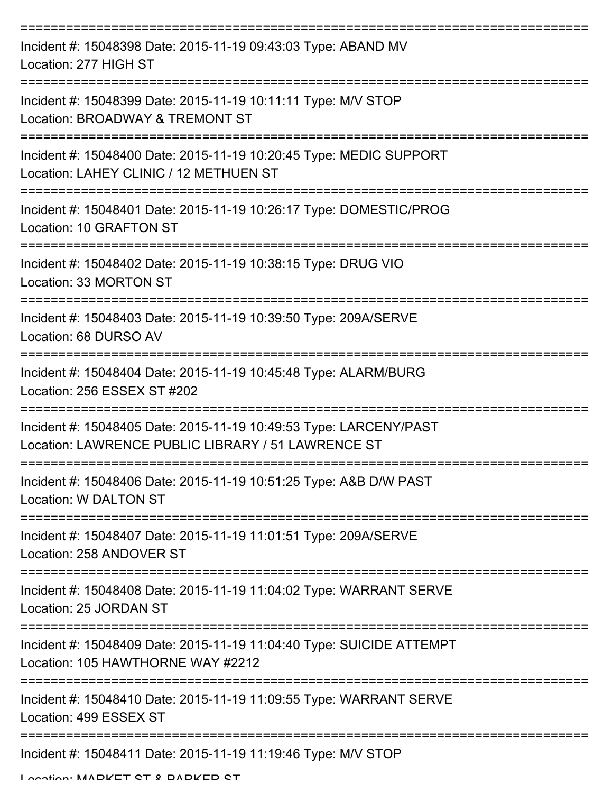| Incident #: 15048398 Date: 2015-11-19 09:43:03 Type: ABAND MV<br>Location: 277 HIGH ST                                  |
|-------------------------------------------------------------------------------------------------------------------------|
| Incident #: 15048399 Date: 2015-11-19 10:11:11 Type: M/V STOP<br>Location: BROADWAY & TREMONT ST                        |
| Incident #: 15048400 Date: 2015-11-19 10:20:45 Type: MEDIC SUPPORT<br>Location: LAHEY CLINIC / 12 METHUEN ST            |
| Incident #: 15048401 Date: 2015-11-19 10:26:17 Type: DOMESTIC/PROG<br>Location: 10 GRAFTON ST                           |
| Incident #: 15048402 Date: 2015-11-19 10:38:15 Type: DRUG VIO<br>Location: 33 MORTON ST                                 |
| Incident #: 15048403 Date: 2015-11-19 10:39:50 Type: 209A/SERVE<br>Location: 68 DURSO AV                                |
| Incident #: 15048404 Date: 2015-11-19 10:45:48 Type: ALARM/BURG<br>Location: 256 ESSEX ST #202                          |
| Incident #: 15048405 Date: 2015-11-19 10:49:53 Type: LARCENY/PAST<br>Location: LAWRENCE PUBLIC LIBRARY / 51 LAWRENCE ST |
| Incident #: 15048406 Date: 2015-11-19 10:51:25 Type: A&B D/W PAST<br>Location: W DALTON ST                              |
| Incident #: 15048407 Date: 2015-11-19 11:01:51 Type: 209A/SERVE<br>Location: 258 ANDOVER ST                             |
| Incident #: 15048408 Date: 2015-11-19 11:04:02 Type: WARRANT SERVE<br>Location: 25 JORDAN ST                            |
| Incident #: 15048409 Date: 2015-11-19 11:04:40 Type: SUICIDE ATTEMPT<br>Location: 105 HAWTHORNE WAY #2212               |
| Incident #: 15048410 Date: 2015-11-19 11:09:55 Type: WARRANT SERVE<br>Location: 499 ESSEX ST                            |
| Incident #: 15048411 Date: 2015-11-19 11:19:46 Type: M/V STOP                                                           |

Location: MADKET CT & DADKED CT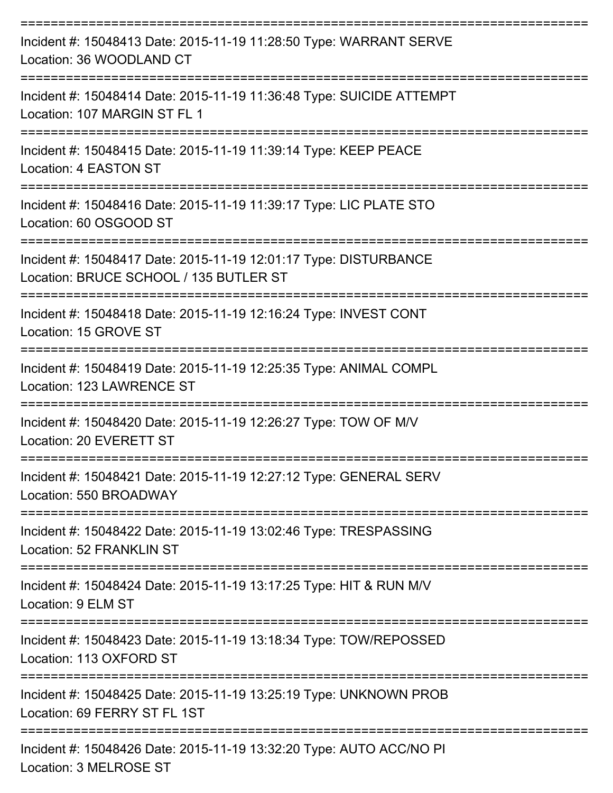| Incident #: 15048413 Date: 2015-11-19 11:28:50 Type: WARRANT SERVE<br>Location: 36 WOODLAND CT             |
|------------------------------------------------------------------------------------------------------------|
| Incident #: 15048414 Date: 2015-11-19 11:36:48 Type: SUICIDE ATTEMPT<br>Location: 107 MARGIN ST FL 1       |
| Incident #: 15048415 Date: 2015-11-19 11:39:14 Type: KEEP PEACE<br>Location: 4 EASTON ST                   |
| Incident #: 15048416 Date: 2015-11-19 11:39:17 Type: LIC PLATE STO<br>Location: 60 OSGOOD ST               |
| Incident #: 15048417 Date: 2015-11-19 12:01:17 Type: DISTURBANCE<br>Location: BRUCE SCHOOL / 135 BUTLER ST |
| Incident #: 15048418 Date: 2015-11-19 12:16:24 Type: INVEST CONT<br>Location: 15 GROVE ST                  |
| Incident #: 15048419 Date: 2015-11-19 12:25:35 Type: ANIMAL COMPL<br>Location: 123 LAWRENCE ST             |
| Incident #: 15048420 Date: 2015-11-19 12:26:27 Type: TOW OF M/V<br>Location: 20 EVERETT ST                 |
| Incident #: 15048421 Date: 2015-11-19 12:27:12 Type: GENERAL SERV<br>Location: 550 BROADWAY                |
| Incident #: 15048422 Date: 2015-11-19 13:02:46 Type: TRESPASSING<br>Location: 52 FRANKLIN ST               |
| Incident #: 15048424 Date: 2015-11-19 13:17:25 Type: HIT & RUN M/V<br>Location: 9 ELM ST                   |
| Incident #: 15048423 Date: 2015-11-19 13:18:34 Type: TOW/REPOSSED<br>Location: 113 OXFORD ST               |
| Incident #: 15048425 Date: 2015-11-19 13:25:19 Type: UNKNOWN PROB<br>Location: 69 FERRY ST FL 1ST          |
| Incident #: 15048426 Date: 2015-11-19 13:32:20 Type: AUTO ACC/NO PI                                        |

Location: 3 MELROSE ST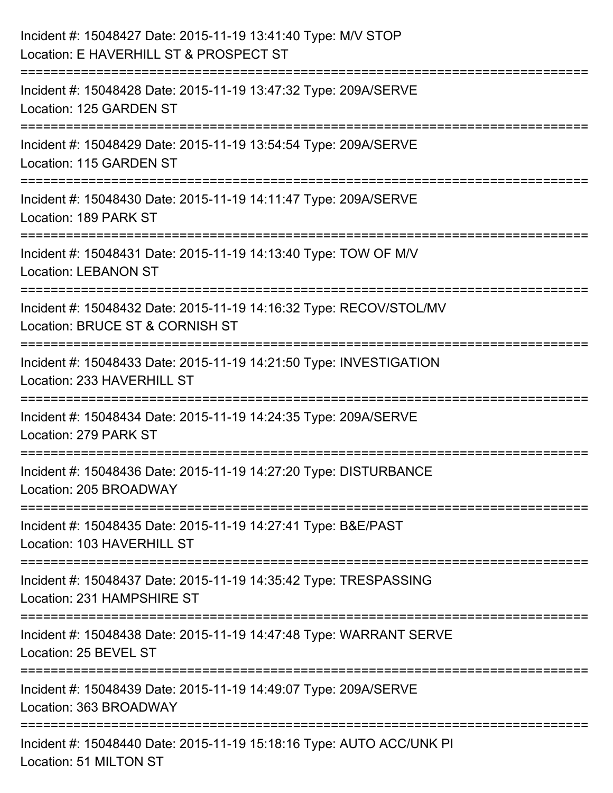| Incident #: 15048427 Date: 2015-11-19 13:41:40 Type: M/V STOP<br>Location: E HAVERHILL ST & PROSPECT ST                         |
|---------------------------------------------------------------------------------------------------------------------------------|
| Incident #: 15048428 Date: 2015-11-19 13:47:32 Type: 209A/SERVE<br>Location: 125 GARDEN ST                                      |
| Incident #: 15048429 Date: 2015-11-19 13:54:54 Type: 209A/SERVE<br>Location: 115 GARDEN ST                                      |
| ;==================================<br>Incident #: 15048430 Date: 2015-11-19 14:11:47 Type: 209A/SERVE<br>Location: 189 PARK ST |
| Incident #: 15048431 Date: 2015-11-19 14:13:40 Type: TOW OF M/V<br><b>Location: LEBANON ST</b>                                  |
| Incident #: 15048432 Date: 2015-11-19 14:16:32 Type: RECOV/STOL/MV<br>Location: BRUCE ST & CORNISH ST                           |
| :=========================<br>Incident #: 15048433 Date: 2015-11-19 14:21:50 Type: INVESTIGATION<br>Location: 233 HAVERHILL ST  |
| Incident #: 15048434 Date: 2015-11-19 14:24:35 Type: 209A/SERVE<br>Location: 279 PARK ST                                        |
| Incident #: 15048436 Date: 2015-11-19 14:27:20 Type: DISTURBANCE<br>Location: 205 BROADWAY                                      |
| Incident #: 15048435 Date: 2015-11-19 14:27:41 Type: B&E/PAST<br>Location: 103 HAVERHILL ST                                     |
| Incident #: 15048437 Date: 2015-11-19 14:35:42 Type: TRESPASSING<br>Location: 231 HAMPSHIRE ST                                  |
| Incident #: 15048438 Date: 2015-11-19 14:47:48 Type: WARRANT SERVE<br>Location: 25 BEVEL ST                                     |
| Incident #: 15048439 Date: 2015-11-19 14:49:07 Type: 209A/SERVE<br>Location: 363 BROADWAY                                       |
| Incident #: 15048440 Date: 2015-11-19 15:18:16 Type: AUTO ACC/UNK PI<br>Location: 51 MILTON ST                                  |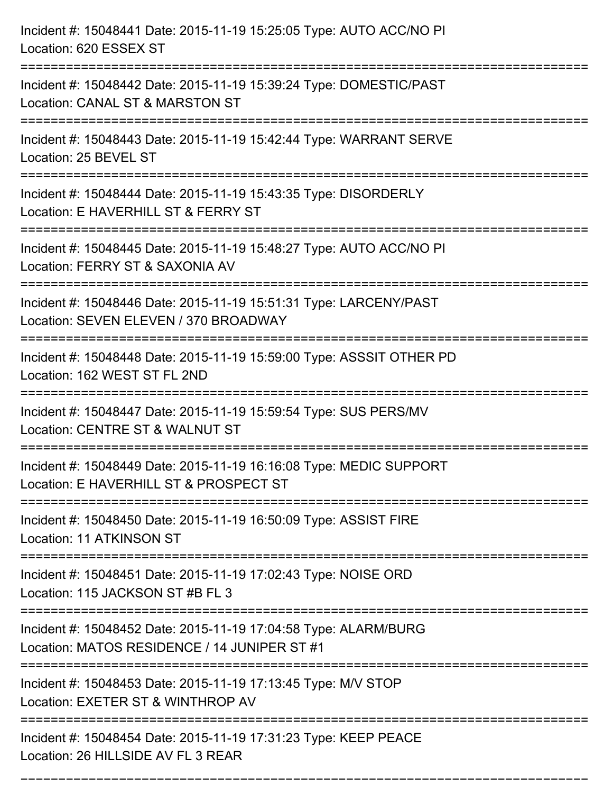| Incident #: 15048441 Date: 2015-11-19 15:25:05 Type: AUTO ACC/NO PI<br>Location: 620 ESSEX ST                                                                                |
|------------------------------------------------------------------------------------------------------------------------------------------------------------------------------|
| Incident #: 15048442 Date: 2015-11-19 15:39:24 Type: DOMESTIC/PAST<br>Location: CANAL ST & MARSTON ST                                                                        |
| Incident #: 15048443 Date: 2015-11-19 15:42:44 Type: WARRANT SERVE<br>Location: 25 BEVEL ST                                                                                  |
| Incident #: 15048444 Date: 2015-11-19 15:43:35 Type: DISORDERLY<br>Location: E HAVERHILL ST & FERRY ST                                                                       |
| Incident #: 15048445 Date: 2015-11-19 15:48:27 Type: AUTO ACC/NO PI<br>Location: FERRY ST & SAXONIA AV<br>:===================================<br>-------------------------- |
| Incident #: 15048446 Date: 2015-11-19 15:51:31 Type: LARCENY/PAST<br>Location: SEVEN ELEVEN / 370 BROADWAY                                                                   |
| Incident #: 15048448 Date: 2015-11-19 15:59:00 Type: ASSSIT OTHER PD<br>Location: 162 WEST ST FL 2ND                                                                         |
| Incident #: 15048447 Date: 2015-11-19 15:59:54 Type: SUS PERS/MV<br>Location: CENTRE ST & WALNUT ST                                                                          |
| Incident #: 15048449 Date: 2015-11-19 16:16:08 Type: MEDIC SUPPORT<br>Location: E HAVERHILL ST & PROSPECT ST                                                                 |
| Incident #: 15048450 Date: 2015-11-19 16:50:09 Type: ASSIST FIRE<br>Location: 11 ATKINSON ST                                                                                 |
| Incident #: 15048451 Date: 2015-11-19 17:02:43 Type: NOISE ORD<br>Location: 115 JACKSON ST #B FL 3                                                                           |
| Incident #: 15048452 Date: 2015-11-19 17:04:58 Type: ALARM/BURG<br>Location: MATOS RESIDENCE / 14 JUNIPER ST #1                                                              |
| ===========================<br>Incident #: 15048453 Date: 2015-11-19 17:13:45 Type: M/V STOP<br>Location: EXETER ST & WINTHROP AV                                            |
| Incident #: 15048454 Date: 2015-11-19 17:31:23 Type: KEEP PEACE<br>Location: 26 HILLSIDE AV FL 3 REAR                                                                        |

===========================================================================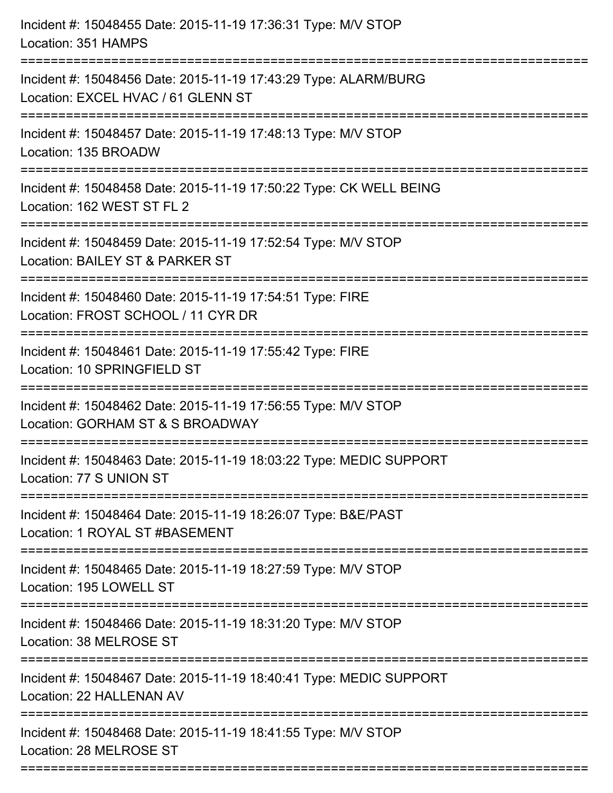| Incident #: 15048456 Date: 2015-11-19 17:43:29 Type: ALARM/BURG<br>Location: EXCEL HVAC / 61 GLENN ST<br>Incident #: 15048457 Date: 2015-11-19 17:48:13 Type: M/V STOP<br>Location: 135 BROADW<br>Incident #: 15048458 Date: 2015-11-19 17:50:22 Type: CK WELL BEING<br>Location: 162 WEST ST FL 2<br>Incident #: 15048459 Date: 2015-11-19 17:52:54 Type: M/V STOP<br>Location: BAILEY ST & PARKER ST<br>;=============================<br>Incident #: 15048460 Date: 2015-11-19 17:54:51 Type: FIRE<br>Location: FROST SCHOOL / 11 CYR DR<br>Incident #: 15048461 Date: 2015-11-19 17:55:42 Type: FIRE<br>Location: 10 SPRINGFIELD ST<br>Incident #: 15048462 Date: 2015-11-19 17:56:55 Type: M/V STOP<br>Location: GORHAM ST & S BROADWAY<br>Incident #: 15048463 Date: 2015-11-19 18:03:22 Type: MEDIC SUPPORT<br>Location: 77 S UNION ST<br>Incident #: 15048464 Date: 2015-11-19 18:26:07 Type: B&E/PAST<br>Location: 1 ROYAL ST #BASEMENT |
|--------------------------------------------------------------------------------------------------------------------------------------------------------------------------------------------------------------------------------------------------------------------------------------------------------------------------------------------------------------------------------------------------------------------------------------------------------------------------------------------------------------------------------------------------------------------------------------------------------------------------------------------------------------------------------------------------------------------------------------------------------------------------------------------------------------------------------------------------------------------------------------------------------------------------------------------------|
|                                                                                                                                                                                                                                                                                                                                                                                                                                                                                                                                                                                                                                                                                                                                                                                                                                                                                                                                                  |
|                                                                                                                                                                                                                                                                                                                                                                                                                                                                                                                                                                                                                                                                                                                                                                                                                                                                                                                                                  |
|                                                                                                                                                                                                                                                                                                                                                                                                                                                                                                                                                                                                                                                                                                                                                                                                                                                                                                                                                  |
|                                                                                                                                                                                                                                                                                                                                                                                                                                                                                                                                                                                                                                                                                                                                                                                                                                                                                                                                                  |
|                                                                                                                                                                                                                                                                                                                                                                                                                                                                                                                                                                                                                                                                                                                                                                                                                                                                                                                                                  |
|                                                                                                                                                                                                                                                                                                                                                                                                                                                                                                                                                                                                                                                                                                                                                                                                                                                                                                                                                  |
|                                                                                                                                                                                                                                                                                                                                                                                                                                                                                                                                                                                                                                                                                                                                                                                                                                                                                                                                                  |
|                                                                                                                                                                                                                                                                                                                                                                                                                                                                                                                                                                                                                                                                                                                                                                                                                                                                                                                                                  |
|                                                                                                                                                                                                                                                                                                                                                                                                                                                                                                                                                                                                                                                                                                                                                                                                                                                                                                                                                  |
| Incident #: 15048465 Date: 2015-11-19 18:27:59 Type: M/V STOP<br>Location: 195 LOWELL ST                                                                                                                                                                                                                                                                                                                                                                                                                                                                                                                                                                                                                                                                                                                                                                                                                                                         |
| Incident #: 15048466 Date: 2015-11-19 18:31:20 Type: M/V STOP<br>Location: 38 MELROSE ST                                                                                                                                                                                                                                                                                                                                                                                                                                                                                                                                                                                                                                                                                                                                                                                                                                                         |
| =========================<br>Incident #: 15048467 Date: 2015-11-19 18:40:41 Type: MEDIC SUPPORT<br>Location: 22 HALLENAN AV                                                                                                                                                                                                                                                                                                                                                                                                                                                                                                                                                                                                                                                                                                                                                                                                                      |
| Incident #: 15048468 Date: 2015-11-19 18:41:55 Type: M/V STOP<br>Location: 28 MELROSE ST                                                                                                                                                                                                                                                                                                                                                                                                                                                                                                                                                                                                                                                                                                                                                                                                                                                         |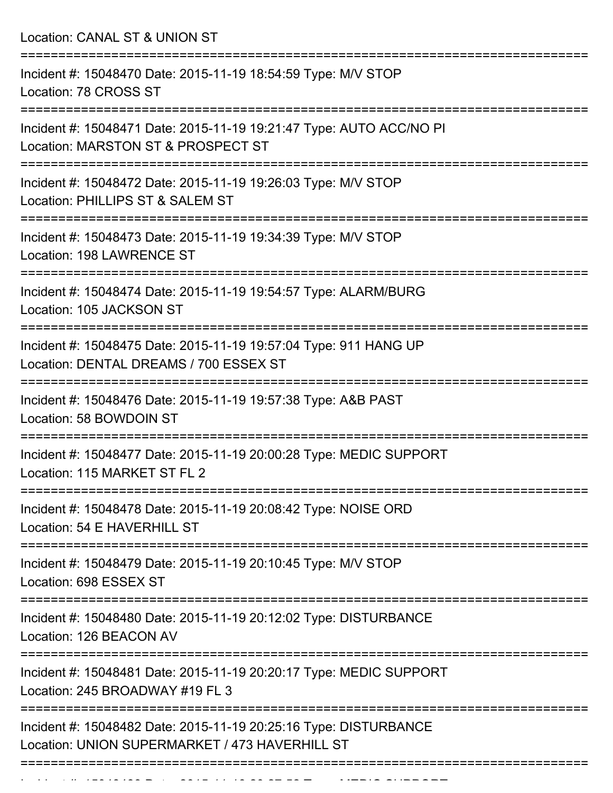Location: CANAL ST & UNION ST

| Incident #: 15048470 Date: 2015-11-19 18:54:59 Type: M/V STOP<br>Location: 78 CROSS ST                             |
|--------------------------------------------------------------------------------------------------------------------|
| Incident #: 15048471 Date: 2015-11-19 19:21:47 Type: AUTO ACC/NO PI<br>Location: MARSTON ST & PROSPECT ST          |
| Incident #: 15048472 Date: 2015-11-19 19:26:03 Type: M/V STOP<br>Location: PHILLIPS ST & SALEM ST                  |
| Incident #: 15048473 Date: 2015-11-19 19:34:39 Type: M/V STOP<br>Location: 198 LAWRENCE ST                         |
| Incident #: 15048474 Date: 2015-11-19 19:54:57 Type: ALARM/BURG<br>Location: 105 JACKSON ST                        |
| Incident #: 15048475 Date: 2015-11-19 19:57:04 Type: 911 HANG UP<br>Location: DENTAL DREAMS / 700 ESSEX ST         |
| Incident #: 15048476 Date: 2015-11-19 19:57:38 Type: A&B PAST<br>Location: 58 BOWDOIN ST<br>==============         |
| Incident #: 15048477 Date: 2015-11-19 20:00:28 Type: MEDIC SUPPORT<br>Location: 115 MARKET ST FL 2                 |
| Incident #: 15048478 Date: 2015-11-19 20:08:42 Type: NOISE ORD<br>Location: 54 E HAVERHILL ST                      |
| =============<br>Incident #: 15048479 Date: 2015-11-19 20:10:45 Type: M/V STOP<br>Location: 698 ESSEX ST           |
| Incident #: 15048480 Date: 2015-11-19 20:12:02 Type: DISTURBANCE<br>Location: 126 BEACON AV                        |
| Incident #: 15048481 Date: 2015-11-19 20:20:17 Type: MEDIC SUPPORT<br>Location: 245 BROADWAY #19 FL 3              |
| Incident #: 15048482 Date: 2015-11-19 20:25:16 Type: DISTURBANCE<br>Location: UNION SUPERMARKET / 473 HAVERHILL ST |
|                                                                                                                    |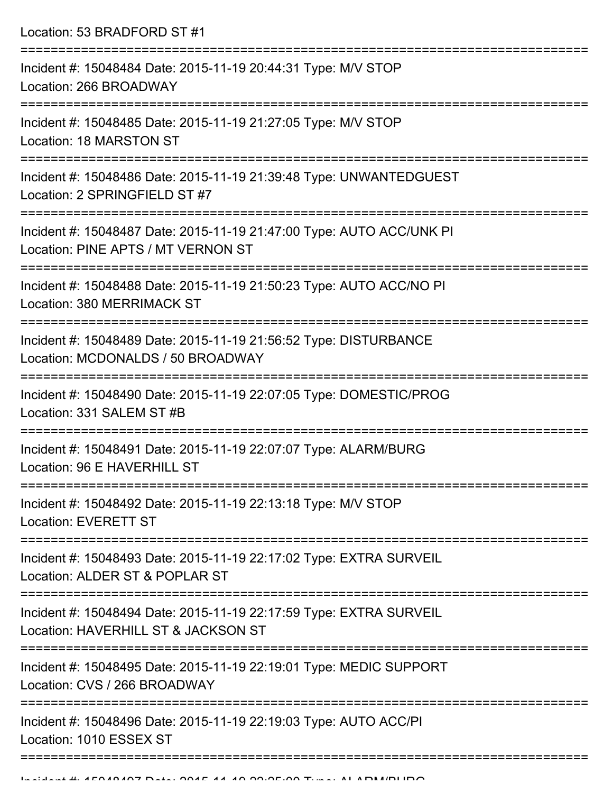Location: 53 BRADFORD ST #1

| Incident #: 15048484 Date: 2015-11-19 20:44:31 Type: M/V STOP<br>Location: 266 BROADWAY                                  |
|--------------------------------------------------------------------------------------------------------------------------|
| Incident #: 15048485 Date: 2015-11-19 21:27:05 Type: M/V STOP<br>Location: 18 MARSTON ST                                 |
| Incident #: 15048486 Date: 2015-11-19 21:39:48 Type: UNWANTEDGUEST<br>Location: 2 SPRINGFIELD ST #7                      |
| Incident #: 15048487 Date: 2015-11-19 21:47:00 Type: AUTO ACC/UNK PI<br>Location: PINE APTS / MT VERNON ST               |
| Incident #: 15048488 Date: 2015-11-19 21:50:23 Type: AUTO ACC/NO PI<br>Location: 380 MERRIMACK ST                        |
| Incident #: 15048489 Date: 2015-11-19 21:56:52 Type: DISTURBANCE<br>Location: MCDONALDS / 50 BROADWAY<br>--------------- |
| Incident #: 15048490 Date: 2015-11-19 22:07:05 Type: DOMESTIC/PROG<br>Location: 331 SALEM ST #B                          |
| Incident #: 15048491 Date: 2015-11-19 22:07:07 Type: ALARM/BURG<br>Location: 96 E HAVERHILL ST                           |
| Incident #: 15048492 Date: 2015-11-19 22:13:18 Type: M/V STOP<br><b>Location: EVERETT ST</b>                             |
| Incident #: 15048493 Date: 2015-11-19 22:17:02 Type: EXTRA SURVEIL<br>Location: ALDER ST & POPLAR ST                     |
| Incident #: 15048494 Date: 2015-11-19 22:17:59 Type: EXTRA SURVEIL<br>Location: HAVERHILL ST & JACKSON ST                |
| Incident #: 15048495 Date: 2015-11-19 22:19:01 Type: MEDIC SUPPORT<br>Location: CVS / 266 BROADWAY                       |
| Incident #: 15048496 Date: 2015-11-19 22:19:03 Type: AUTO ACC/PI<br>Location: 1010 ESSEX ST                              |
|                                                                                                                          |